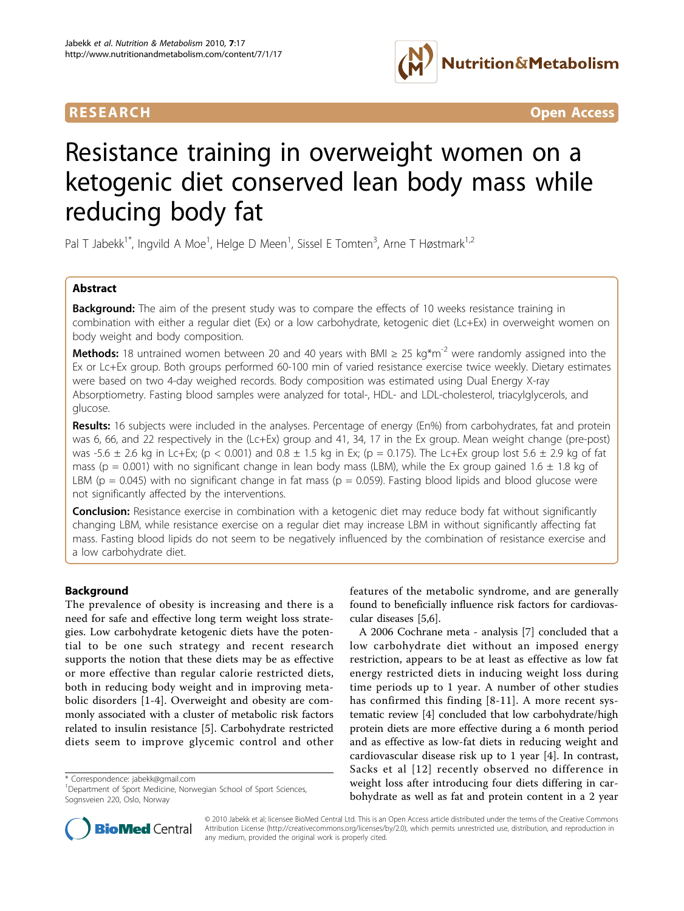

RESEARCH CHEARCH CHEARCH CHEARCH CHEARCH CHEARCH CHEARCH CHEARCH CHEARCH CHEARCH CHEARCH CHEARCH CHEARCH CHEARCH

# Resistance training in overweight women on a ketogenic diet conserved lean body mass while reducing body fat

Pal T Jabekk<sup>1\*</sup>, Ingvild A Moe<sup>1</sup>, Helge D Meen<sup>1</sup>, Sissel E Tomten<sup>3</sup>, Arne T Høstmark<sup>1,2</sup>

# Abstract

Background: The aim of the present study was to compare the effects of 10 weeks resistance training in combination with either a regular diet (Ex) or a low carbohydrate, ketogenic diet (Lc+Ex) in overweight women on body weight and body composition.

**Methods:** 18 untrained women between 20 and 40 years with BMI  $\geq$  25 kg<sup>\*</sup>m<sup>-2</sup> were randomly assigned into the Ex or Lc+Ex group. Both groups performed 60-100 min of varied resistance exercise twice weekly. Dietary estimates were based on two 4-day weighed records. Body composition was estimated using Dual Energy X-ray Absorptiometry. Fasting blood samples were analyzed for total-, HDL- and LDL-cholesterol, triacylglycerols, and glucose.

Results: 16 subjects were included in the analyses. Percentage of energy (En%) from carbohydrates, fat and protein was 6, 66, and 22 respectively in the (Lc+Ex) group and 41, 34, 17 in the Ex group. Mean weight change (pre-post) was -5.6  $\pm$  2.6 kg in Lc+Ex; (p < 0.001) and 0.8  $\pm$  1.5 kg in Ex; (p = 0.175). The Lc+Ex group lost 5.6  $\pm$  2.9 kg of fat mass (p = 0.001) with no significant change in lean body mass (LBM), while the Ex group gained 1.6  $\pm$  1.8 kg of LBM ( $p = 0.045$ ) with no significant change in fat mass ( $p = 0.059$ ). Fasting blood lipids and blood glucose were not significantly affected by the interventions.

**Conclusion:** Resistance exercise in combination with a ketogenic diet may reduce body fat without significantly changing LBM, while resistance exercise on a regular diet may increase LBM in without significantly affecting fat mass. Fasting blood lipids do not seem to be negatively influenced by the combination of resistance exercise and a low carbohydrate diet.

# Background

The prevalence of obesity is increasing and there is a need for safe and effective long term weight loss strategies. Low carbohydrate ketogenic diets have the potential to be one such strategy and recent research supports the notion that these diets may be as effective or more effective than regular calorie restricted diets, both in reducing body weight and in improving metabolic disorders [[1](#page-7-0)-[4\]](#page-7-0). Overweight and obesity are commonly associated with a cluster of metabolic risk factors related to insulin resistance [\[5](#page-7-0)]. Carbohydrate restricted diets seem to improve glycemic control and other

\* Correspondence: [jabekk@gmail.com](mailto:jabekk@gmail.com)



A 2006 Cochrane meta - analysis [[7\]](#page-7-0) concluded that a low carbohydrate diet without an imposed energy restriction, appears to be at least as effective as low fat energy restricted diets in inducing weight loss during time periods up to 1 year. A number of other studies has confirmed this finding [[8-11\]](#page-7-0). A more recent systematic review [[4\]](#page-7-0) concluded that low carbohydrate/high protein diets are more effective during a 6 month period and as effective as low-fat diets in reducing weight and cardiovascular disease risk up to 1 year [[4\]](#page-7-0). In contrast, Sacks et al [[12\]](#page-7-0) recently observed no difference in weight loss after introducing four diets differing in carbohydrate as well as fat and protein content in a 2 year



© 2010 Jabekk et al; licensee BioMed Central Ltd. This is an Open Access article distributed under the terms of the Creative Commons Attribution License [\(http://creativecommons.org/licenses/by/2.0](http://creativecommons.org/licenses/by/2.0)), which permits unrestricted use, distribution, and reproduction in any medium, provided the original work is properly cited.

<sup>&</sup>lt;sup>1</sup>Department of Sport Medicine, Norwegian School of Sport Sciences, Sognsveien 220, Oslo, Norway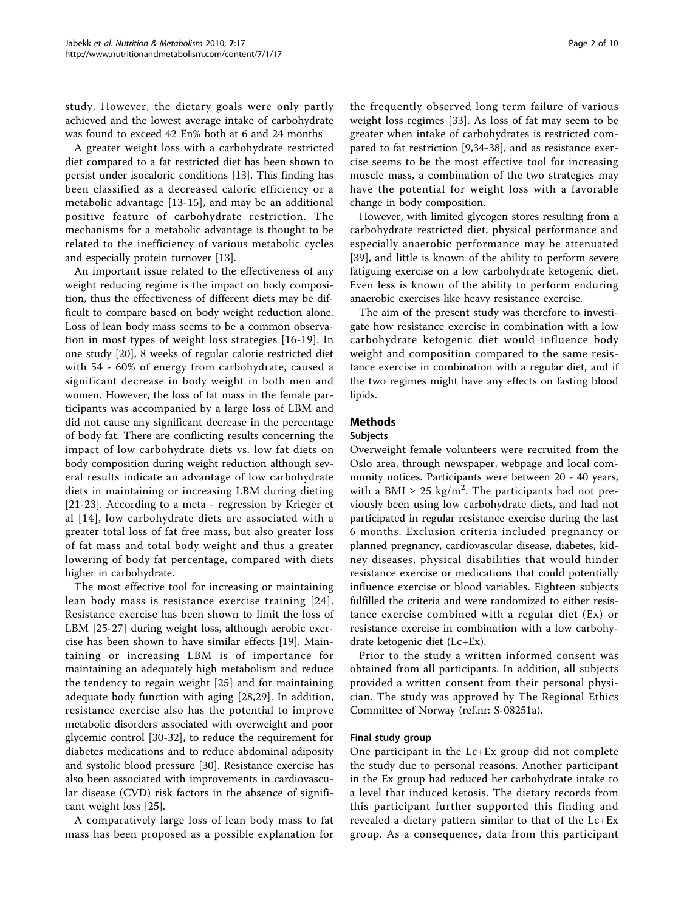study. However, the dietary goals were only partly achieved and the lowest average intake of carbohydrate was found to exceed 42 En% both at 6 and 24 months

A greater weight loss with a carbohydrate restricted diet compared to a fat restricted diet has been shown to persist under isocaloric conditions [\[13\]](#page-7-0). This finding has been classified as a decreased caloric efficiency or a metabolic advantage [[13-15](#page-7-0)], and may be an additional positive feature of carbohydrate restriction. The mechanisms for a metabolic advantage is thought to be related to the inefficiency of various metabolic cycles and especially protein turnover [[13](#page-7-0)].

An important issue related to the effectiveness of any weight reducing regime is the impact on body composition, thus the effectiveness of different diets may be difficult to compare based on body weight reduction alone. Loss of lean body mass seems to be a common observation in most types of weight loss strategies [\[16-19\]](#page-7-0). In one study [[20\]](#page-8-0), 8 weeks of regular calorie restricted diet with 54 - 60% of energy from carbohydrate, caused a significant decrease in body weight in both men and women. However, the loss of fat mass in the female participants was accompanied by a large loss of LBM and did not cause any significant decrease in the percentage of body fat. There are conflicting results concerning the impact of low carbohydrate diets vs. low fat diets on body composition during weight reduction although several results indicate an advantage of low carbohydrate diets in maintaining or increasing LBM during dieting [[21-23\]](#page-8-0). According to a meta - regression by Krieger et al [[14](#page-7-0)], low carbohydrate diets are associated with a greater total loss of fat free mass, but also greater loss of fat mass and total body weight and thus a greater lowering of body fat percentage, compared with diets higher in carbohydrate.

The most effective tool for increasing or maintaining lean body mass is resistance exercise training [[24\]](#page-8-0). Resistance exercise has been shown to limit the loss of LBM [[25-27](#page-8-0)] during weight loss, although aerobic exercise has been shown to have similar effects [[19](#page-7-0)]. Maintaining or increasing LBM is of importance for maintaining an adequately high metabolism and reduce the tendency to regain weight [[25\]](#page-8-0) and for maintaining adequate body function with aging [\[28](#page-8-0),[29\]](#page-8-0). In addition, resistance exercise also has the potential to improve metabolic disorders associated with overweight and poor glycemic control [[30-32](#page-8-0)], to reduce the requirement for diabetes medications and to reduce abdominal adiposity and systolic blood pressure [\[30](#page-8-0)]. Resistance exercise has also been associated with improvements in cardiovascular disease (CVD) risk factors in the absence of significant weight loss [[25\]](#page-8-0).

A comparatively large loss of lean body mass to fat mass has been proposed as a possible explanation for

the frequently observed long term failure of various weight loss regimes [[33\]](#page-8-0). As loss of fat may seem to be greater when intake of carbohydrates is restricted compared to fat restriction [\[9](#page-7-0)[,34](#page-8-0)-[38\]](#page-8-0), and as resistance exercise seems to be the most effective tool for increasing muscle mass, a combination of the two strategies may have the potential for weight loss with a favorable change in body composition.

However, with limited glycogen stores resulting from a carbohydrate restricted diet, physical performance and especially anaerobic performance may be attenuated [[39\]](#page-8-0), and little is known of the ability to perform severe fatiguing exercise on a low carbohydrate ketogenic diet. Even less is known of the ability to perform enduring anaerobic exercises like heavy resistance exercise.

The aim of the present study was therefore to investigate how resistance exercise in combination with a low carbohydrate ketogenic diet would influence body weight and composition compared to the same resistance exercise in combination with a regular diet, and if the two regimes might have any effects on fasting blood lipids.

# Methods

#### Subjects

Overweight female volunteers were recruited from the Oslo area, through newspaper, webpage and local community notices. Participants were between 20 - 40 years, with a BMI  $\geq 25$  kg/m<sup>2</sup>. The participants had not previously been using low carbohydrate diets, and had not participated in regular resistance exercise during the last 6 months. Exclusion criteria included pregnancy or planned pregnancy, cardiovascular disease, diabetes, kidney diseases, physical disabilities that would hinder resistance exercise or medications that could potentially influence exercise or blood variables. Eighteen subjects fulfilled the criteria and were randomized to either resistance exercise combined with a regular diet (Ex) or resistance exercise in combination with a low carbohydrate ketogenic diet (Lc+Ex).

Prior to the study a written informed consent was obtained from all participants. In addition, all subjects provided a written consent from their personal physician. The study was approved by The Regional Ethics Committee of Norway (ref.nr: S-08251a).

#### Final study group

One participant in the Lc+Ex group did not complete the study due to personal reasons. Another participant in the Ex group had reduced her carbohydrate intake to a level that induced ketosis. The dietary records from this participant further supported this finding and revealed a dietary pattern similar to that of the Lc+Ex group. As a consequence, data from this participant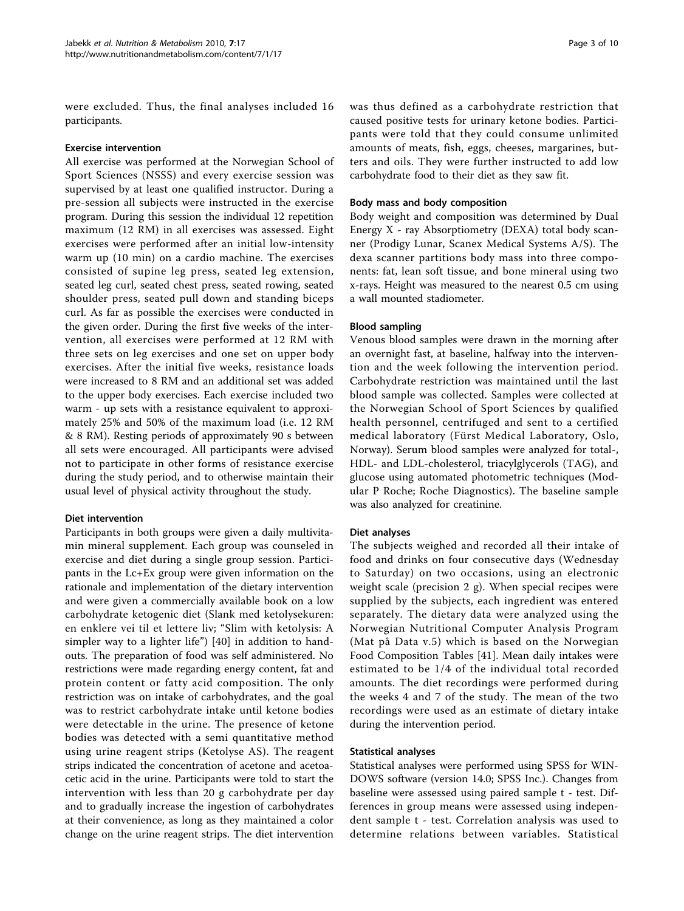were excluded. Thus, the final analyses included 16 participants.

#### Exercise intervention

All exercise was performed at the Norwegian School of Sport Sciences (NSSS) and every exercise session was supervised by at least one qualified instructor. During a pre-session all subjects were instructed in the exercise program. During this session the individual 12 repetition maximum (12 RM) in all exercises was assessed. Eight exercises were performed after an initial low-intensity warm up (10 min) on a cardio machine. The exercises consisted of supine leg press, seated leg extension, seated leg curl, seated chest press, seated rowing, seated shoulder press, seated pull down and standing biceps curl. As far as possible the exercises were conducted in the given order. During the first five weeks of the intervention, all exercises were performed at 12 RM with three sets on leg exercises and one set on upper body exercises. After the initial five weeks, resistance loads were increased to 8 RM and an additional set was added to the upper body exercises. Each exercise included two warm - up sets with a resistance equivalent to approximately 25% and 50% of the maximum load (i.e. 12 RM & 8 RM). Resting periods of approximately 90 s between all sets were encouraged. All participants were advised not to participate in other forms of resistance exercise during the study period, and to otherwise maintain their usual level of physical activity throughout the study.

#### Diet intervention

Participants in both groups were given a daily multivitamin mineral supplement. Each group was counseled in exercise and diet during a single group session. Participants in the Lc+Ex group were given information on the rationale and implementation of the dietary intervention and were given a commercially available book on a low carbohydrate ketogenic diet (Slank med ketolysekuren: en enklere vei til et lettere liv; "Slim with ketolysis: A simpler way to a lighter life") [[40\]](#page-8-0) in addition to handouts. The preparation of food was self administered. No restrictions were made regarding energy content, fat and protein content or fatty acid composition. The only restriction was on intake of carbohydrates, and the goal was to restrict carbohydrate intake until ketone bodies were detectable in the urine. The presence of ketone bodies was detected with a semi quantitative method using urine reagent strips (Ketolyse AS). The reagent strips indicated the concentration of acetone and acetoacetic acid in the urine. Participants were told to start the intervention with less than 20 g carbohydrate per day and to gradually increase the ingestion of carbohydrates at their convenience, as long as they maintained a color change on the urine reagent strips. The diet intervention was thus defined as a carbohydrate restriction that caused positive tests for urinary ketone bodies. Participants were told that they could consume unlimited amounts of meats, fish, eggs, cheeses, margarines, butters and oils. They were further instructed to add low carbohydrate food to their diet as they saw fit.

#### Body mass and body composition

Body weight and composition was determined by Dual Energy X - ray Absorptiometry (DEXA) total body scanner (Prodigy Lunar, Scanex Medical Systems A/S). The dexa scanner partitions body mass into three components: fat, lean soft tissue, and bone mineral using two x-rays. Height was measured to the nearest 0.5 cm using a wall mounted stadiometer.

#### Blood sampling

Venous blood samples were drawn in the morning after an overnight fast, at baseline, halfway into the intervention and the week following the intervention period. Carbohydrate restriction was maintained until the last blood sample was collected. Samples were collected at the Norwegian School of Sport Sciences by qualified health personnel, centrifuged and sent to a certified medical laboratory (Fürst Medical Laboratory, Oslo, Norway). Serum blood samples were analyzed for total-, HDL- and LDL-cholesterol, triacylglycerols (TAG), and glucose using automated photometric techniques (Modular P Roche; Roche Diagnostics). The baseline sample was also analyzed for creatinine.

# Diet analyses

The subjects weighed and recorded all their intake of food and drinks on four consecutive days (Wednesday to Saturday) on two occasions, using an electronic weight scale (precision 2 g). When special recipes were supplied by the subjects, each ingredient was entered separately. The dietary data were analyzed using the Norwegian Nutritional Computer Analysis Program (Mat på Data v.5) which is based on the Norwegian Food Composition Tables [[41\]](#page-8-0). Mean daily intakes were estimated to be 1/4 of the individual total recorded amounts. The diet recordings were performed during the weeks 4 and 7 of the study. The mean of the two recordings were used as an estimate of dietary intake during the intervention period.

#### Statistical analyses

Statistical analyses were performed using SPSS for WIN-DOWS software (version 14.0; SPSS Inc.). Changes from baseline were assessed using paired sample t - test. Differences in group means were assessed using independent sample t - test. Correlation analysis was used to determine relations between variables. Statistical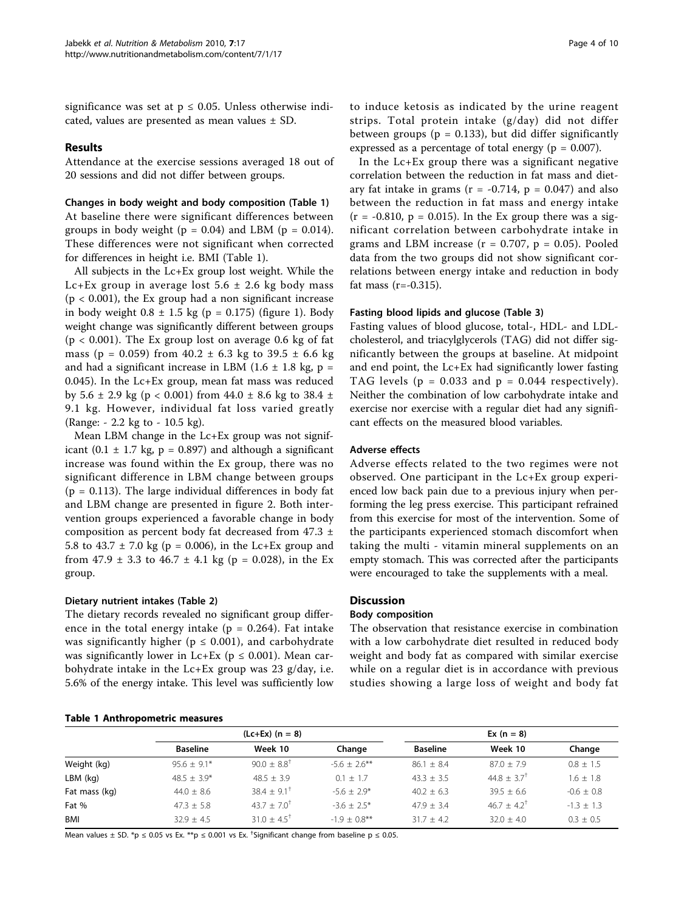significance was set at  $p \le 0.05$ . Unless otherwise indicated, values are presented as mean values ± SD.

#### Results

Attendance at the exercise sessions averaged 18 out of 20 sessions and did not differ between groups.

Changes in body weight and body composition (Table 1) At baseline there were significant differences between groups in body weight ( $p = 0.04$ ) and LBM ( $p = 0.014$ ). These differences were not significant when corrected for differences in height i.e. BMI (Table 1).

All subjects in the Lc+Ex group lost weight. While the Lc+Ex group in average lost  $5.6 \pm 2.6$  kg body mass  $(p < 0.001)$ , the Ex group had a non significant increase in body weight  $0.8 \pm 1.5$  kg (p = 0.175) (figure [1\)](#page-4-0). Body weight change was significantly different between groups  $(p < 0.001)$ . The Ex group lost on average 0.6 kg of fat mass ( $p = 0.059$ ) from  $40.2 \pm 6.3$  kg to  $39.5 \pm 6.6$  kg and had a significant increase in LBM (1.6  $\pm$  1.8 kg, p = 0.045). In the Lc+Ex group, mean fat mass was reduced by 5.6  $\pm$  2.9 kg (p < 0.001) from 44.0  $\pm$  8.6 kg to 38.4  $\pm$ 9.1 kg. However, individual fat loss varied greatly (Range: - 2.2 kg to - 10.5 kg).

Mean LBM change in the Lc+Ex group was not significant (0.1  $\pm$  1.7 kg, p = 0.897) and although a significant increase was found within the Ex group, there was no significant difference in LBM change between groups  $(p = 0.113)$ . The large individual differences in body fat and LBM change are presented in figure [2.](#page-4-0) Both intervention groups experienced a favorable change in body composition as percent body fat decreased from 47.3 ± 5.8 to 43.7  $\pm$  7.0 kg (p = 0.006), in the Lc+Ex group and from 47.9  $\pm$  3.3 to 46.7  $\pm$  4.1 kg (p = 0.028), in the Ex group.

# Dietary nutrient intakes (Table [2](#page-5-0))

The dietary records revealed no significant group difference in the total energy intake ( $p = 0.264$ ). Fat intake was significantly higher ( $p \le 0.001$ ), and carbohydrate was significantly lower in Lc+Ex ( $p \le 0.001$ ). Mean carbohydrate intake in the Lc+Ex group was 23 g/day, i.e. 5.6% of the energy intake. This level was sufficiently low

# Table 1 Anthropometric measures

to induce ketosis as indicated by the urine reagent strips. Total protein intake (g/day) did not differ between groups ( $p = 0.133$ ), but did differ significantly expressed as a percentage of total energy ( $p = 0.007$ ).

In the Lc+Ex group there was a significant negative correlation between the reduction in fat mass and dietary fat intake in grams ( $r = -0.714$ ,  $p = 0.047$ ) and also between the reduction in fat mass and energy intake  $(r = -0.810, p = 0.015)$ . In the Ex group there was a significant correlation between carbohydrate intake in grams and LBM increase ( $r = 0.707$ ,  $p = 0.05$ ). Pooled data from the two groups did not show significant correlations between energy intake and reduction in body fat mass  $(r=-0.315)$ .

#### Fasting blood lipids and glucose (Table [3\)](#page-5-0)

Fasting values of blood glucose, total-, HDL- and LDLcholesterol, and triacylglycerols (TAG) did not differ significantly between the groups at baseline. At midpoint and end point, the Lc+Ex had significantly lower fasting TAG levels ( $p = 0.033$  and  $p = 0.044$  respectively). Neither the combination of low carbohydrate intake and exercise nor exercise with a regular diet had any significant effects on the measured blood variables.

#### Adverse effects

Adverse effects related to the two regimes were not observed. One participant in the Lc+Ex group experienced low back pain due to a previous injury when performing the leg press exercise. This participant refrained from this exercise for most of the intervention. Some of the participants experienced stomach discomfort when taking the multi - vitamin mineral supplements on an empty stomach. This was corrected after the participants were encouraged to take the supplements with a meal.

#### **Discussion**

#### Body composition

The observation that resistance exercise in combination with a low carbohydrate diet resulted in reduced body weight and body fat as compared with similar exercise while on a regular diet is in accordance with previous studies showing a large loss of weight and body fat

|               | $(Lc+Ex)$ (n = 8) |                           |                 | Ex $(n = 8)$    |                         |              |  |  |  |
|---------------|-------------------|---------------------------|-----------------|-----------------|-------------------------|--------------|--|--|--|
|               | <b>Baseline</b>   | Week 10                   | Change          | <b>Baseline</b> | Week 10                 | Change       |  |  |  |
| Weight (kg)   | $95.6 + 9.1*$     | $90.0 + 8.8$ <sup>†</sup> | $-5.6 + 2.6$ ** | $86.1 + 8.4$    | $87.0 + 7.9$            | $0.8 + 1.5$  |  |  |  |
| LBM (kg)      | $48.5 + 3.9*$     | $48.5 + 3.9$              | $0.1 \pm 1.7$   | $43.3 + 3.5$    | $44.8 + 3.7^{\dagger}$  | $1.6 + 1.8$  |  |  |  |
| Fat mass (kg) | $44.0 + 8.6$      | $38.4 + 9.1$ <sup>†</sup> | $-5.6 + 2.9*$   | $40.2 + 6.3$    | $39.5 + 6.6$            | $-0.6 + 0.8$ |  |  |  |
| Fat %         | $47.3 + 5.8$      | $43.7 + 7.0^{+}$          | $-3.6 + 2.5*$   | $47.9 + 3.4$    | $467 + 47$ <sup>t</sup> | $-1.3 + 1.3$ |  |  |  |
| BMI           | $32.9 + 4.5$      | $31.0 + 4.5$ <sup>†</sup> | $-1.9 + 0.8$ ** | $31.7 + 4.2$    | $32.0 + 4.0$            | $0.3 + 0.5$  |  |  |  |
|               |                   |                           |                 |                 |                         |              |  |  |  |

Mean values  $\pm$  SD. \*p  $\leq$  0.05 vs Ex. \*\*p  $\leq$  0.001 vs Ex. <sup>†</sup>Significant change from baseline p  $\leq$  0.05.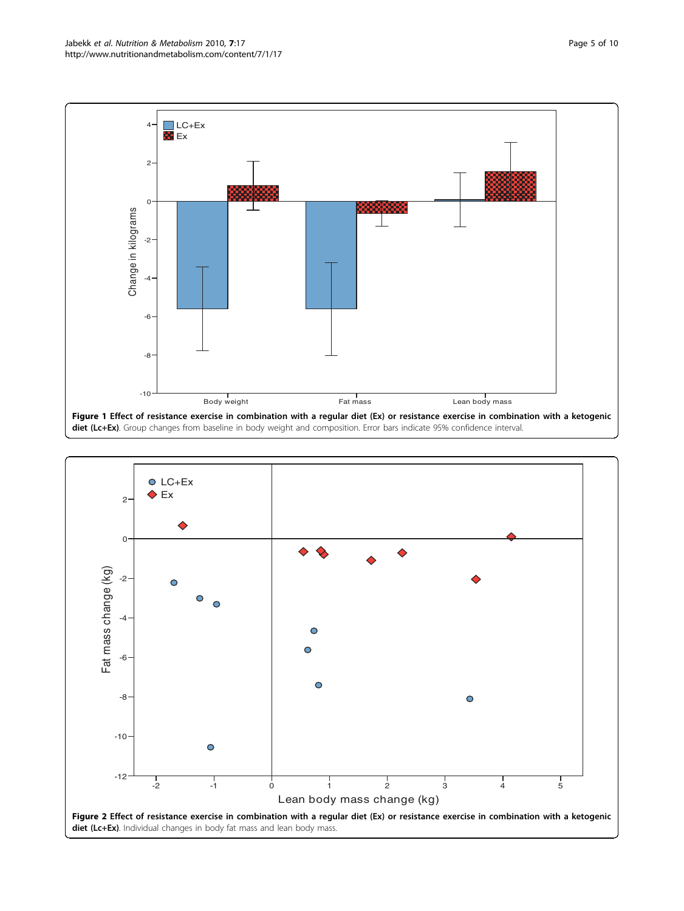<span id="page-4-0"></span>

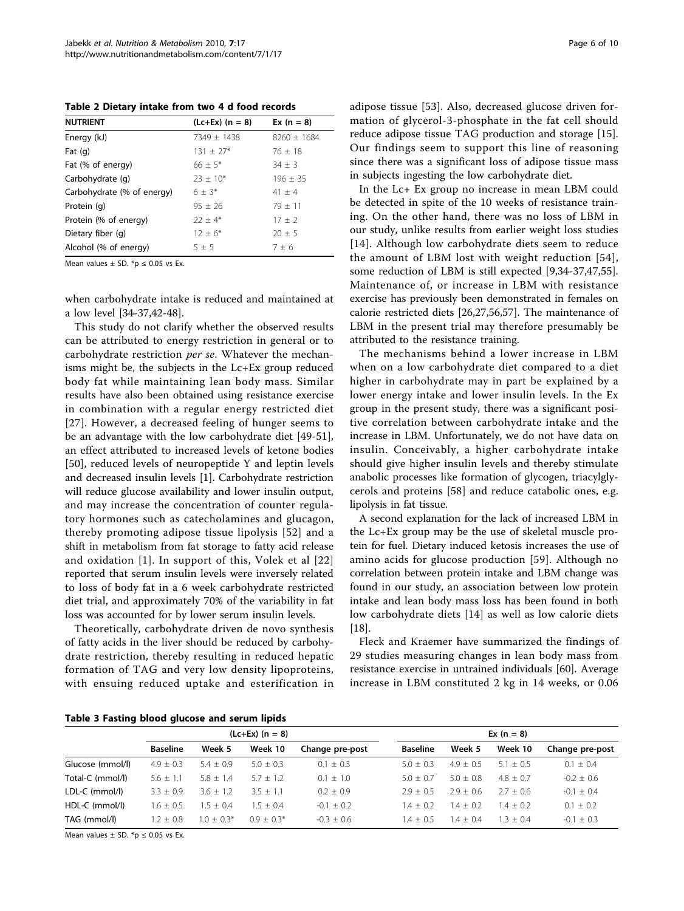<span id="page-5-0"></span>Table 2 Dietary intake from two 4 d food records

| <b>NUTRIENT</b>            | $(Lc+Ex)$ (n = 8) | Ex $(n = 8)$    |
|----------------------------|-------------------|-----------------|
| Energy (kJ)                | $7349 + 1438$     | $8260 \pm 1684$ |
| Fat $(q)$                  | $131 \pm 27$ *    | $76 + 18$       |
| Fat (% of energy)          | $66 \pm 5*$       | $34 + 3$        |
| Carbohydrate (q)           | $23 \pm 10^{*}$   | $196 + 35$      |
| Carbohydrate (% of energy) | $6 \pm 3^*$       | $41 + 4$        |
| Protein (g)                | $95 + 26$         | $79 + 11$       |
| Protein (% of energy)      | $22 + 4*$         | $17 + 2$        |
| Dietary fiber (q)          | $12 \pm 6*$       | $20 \pm 5$      |
| Alcohol (% of energy)      | 5±5               | $7 + 6$         |

Mean values  $\pm$  SD. \*p  $\leq$  0.05 vs Ex.

when carbohydrate intake is reduced and maintained at a low level [[34-37,42-48](#page-8-0)].

This study do not clarify whether the observed results can be attributed to energy restriction in general or to carbohydrate restriction per se. Whatever the mechanisms might be, the subjects in the Lc+Ex group reduced body fat while maintaining lean body mass. Similar results have also been obtained using resistance exercise in combination with a regular energy restricted diet [[27](#page-8-0)]. However, a decreased feeling of hunger seems to be an advantage with the low carbohydrate diet [[49-51](#page-8-0)], an effect attributed to increased levels of ketone bodies [[50\]](#page-8-0), reduced levels of neuropeptide Y and leptin levels and decreased insulin levels [[1\]](#page-7-0). Carbohydrate restriction will reduce glucose availability and lower insulin output, and may increase the concentration of counter regulatory hormones such as catecholamines and glucagon, thereby promoting adipose tissue lipolysis [[52\]](#page-8-0) and a shift in metabolism from fat storage to fatty acid release and oxidation [[1](#page-7-0)]. In support of this, Volek et al [[22](#page-8-0)] reported that serum insulin levels were inversely related to loss of body fat in a 6 week carbohydrate restricted diet trial, and approximately 70% of the variability in fat loss was accounted for by lower serum insulin levels.

Theoretically, carbohydrate driven de novo synthesis of fatty acids in the liver should be reduced by carbohydrate restriction, thereby resulting in reduced hepatic formation of TAG and very low density lipoproteins, with ensuing reduced uptake and esterification in adipose tissue [\[53](#page-8-0)]. Also, decreased glucose driven formation of glycerol-3-phosphate in the fat cell should reduce adipose tissue TAG production and storage [\[15](#page-7-0)]. Our findings seem to support this line of reasoning since there was a significant loss of adipose tissue mass in subjects ingesting the low carbohydrate diet.

In the Lc+ Ex group no increase in mean LBM could be detected in spite of the 10 weeks of resistance training. On the other hand, there was no loss of LBM in our study, unlike results from earlier weight loss studies [[14](#page-7-0)]. Although low carbohydrate diets seem to reduce the amount of LBM lost with weight reduction [[54\]](#page-8-0), some reduction of LBM is still expected [[9,](#page-7-0)[34-37,47,55](#page-8-0)]. Maintenance of, or increase in LBM with resistance exercise has previously been demonstrated in females on calorie restricted diets [[26,27,56,57](#page-8-0)]. The maintenance of LBM in the present trial may therefore presumably be attributed to the resistance training.

The mechanisms behind a lower increase in LBM when on a low carbohydrate diet compared to a diet higher in carbohydrate may in part be explained by a lower energy intake and lower insulin levels. In the Ex group in the present study, there was a significant positive correlation between carbohydrate intake and the increase in LBM. Unfortunately, we do not have data on insulin. Conceivably, a higher carbohydrate intake should give higher insulin levels and thereby stimulate anabolic processes like formation of glycogen, triacylglycerols and proteins [\[58\]](#page-8-0) and reduce catabolic ones, e.g. lipolysis in fat tissue.

A second explanation for the lack of increased LBM in the Lc+Ex group may be the use of skeletal muscle protein for fuel. Dietary induced ketosis increases the use of amino acids for glucose production [[59](#page-8-0)]. Although no correlation between protein intake and LBM change was found in our study, an association between low protein intake and lean body mass loss has been found in both low carbohydrate diets [[14](#page-7-0)] as well as low calorie diets [[18\]](#page-7-0).

Fleck and Kraemer have summarized the findings of 29 studies measuring changes in lean body mass from resistance exercise in untrained individuals [\[60](#page-8-0)]. Average increase in LBM constituted 2 kg in 14 weeks, or 0.06

Table 3 Fasting blood glucose and serum lipids

|                  | $(Lc+Ex)$ (n = 8) |              |             |                 | Ex $(n = 8)$    |             |             |                 |
|------------------|-------------------|--------------|-------------|-----------------|-----------------|-------------|-------------|-----------------|
|                  | <b>Baseline</b>   | Week 5       | Week 10     | Change pre-post | <b>Baseline</b> | Week 5      | Week 10     | Change pre-post |
| Glucose (mmol/l) | $4.9 \pm 0.3$     | $5.4 + 0.9$  | $5.0 + 0.3$ | $0.1 \pm 0.3$   | $5.0 + 0.3$     | $4.9 + 0.5$ | $5.1 + 0.5$ | $0.1 \pm 0.4$   |
| Total-C (mmol/l) | $5.6 + 1.1$       | $5.8 + 1.4$  | $5.7 + 1.2$ | $0.1 + 1.0$     | $5.0 + 0.7$     | $5.0 + 0.8$ | $4.8 + 0.7$ | $-0.2 + 0.6$    |
| LDL-C (mmol/l)   | $3.3 + 0.9$       | $3.6 + 1.2$  | $3.5 + 1.1$ | $0.2 + 0.9$     | $2.9 + 0.5$     | $79 + 06$   | $77 + 06$   | $-0.1 + 0.4$    |
| HDL-C (mmol/l)   | $1.6 \pm 0.5$     | $1.5 + 0.4$  | $1.5 + 0.4$ | $-0.1 \pm 0.2$  | $1.4 + 0.2$     | $.4 + 0.2$  | $1.4 + 0.2$ | $0.1 \pm 0.2$   |
| TAG (mmol/l)     | $1.2 + 0.8$       | $1.0 + 0.3*$ | $09 + 03*$  | $-0.3 + 0.6$    | $1.4 + 0.5$     | $1.4 + 0.4$ | $13 + 04$   | $-0.1 + 0.3$    |

Mean values  $\pm$  SD. \*p  $\leq$  0.05 vs Ex.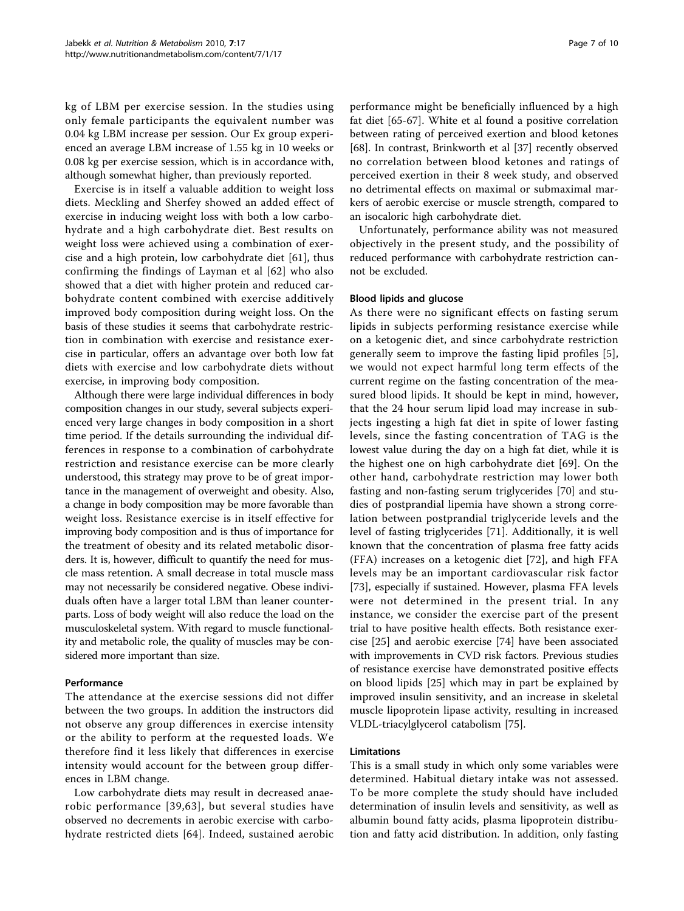kg of LBM per exercise session. In the studies using only female participants the equivalent number was 0.04 kg LBM increase per session. Our Ex group experienced an average LBM increase of 1.55 kg in 10 weeks or 0.08 kg per exercise session, which is in accordance with, although somewhat higher, than previously reported.

Exercise is in itself a valuable addition to weight loss diets. Meckling and Sherfey showed an added effect of exercise in inducing weight loss with both a low carbohydrate and a high carbohydrate diet. Best results on weight loss were achieved using a combination of exercise and a high protein, low carbohydrate diet [\[61](#page-8-0)], thus confirming the findings of Layman et al [[62\]](#page-8-0) who also showed that a diet with higher protein and reduced carbohydrate content combined with exercise additively improved body composition during weight loss. On the basis of these studies it seems that carbohydrate restriction in combination with exercise and resistance exercise in particular, offers an advantage over both low fat diets with exercise and low carbohydrate diets without exercise, in improving body composition.

Although there were large individual differences in body composition changes in our study, several subjects experienced very large changes in body composition in a short time period. If the details surrounding the individual differences in response to a combination of carbohydrate restriction and resistance exercise can be more clearly understood, this strategy may prove to be of great importance in the management of overweight and obesity. Also, a change in body composition may be more favorable than weight loss. Resistance exercise is in itself effective for improving body composition and is thus of importance for the treatment of obesity and its related metabolic disorders. It is, however, difficult to quantify the need for muscle mass retention. A small decrease in total muscle mass may not necessarily be considered negative. Obese individuals often have a larger total LBM than leaner counterparts. Loss of body weight will also reduce the load on the musculoskeletal system. With regard to muscle functionality and metabolic role, the quality of muscles may be considered more important than size.

# Performance

The attendance at the exercise sessions did not differ between the two groups. In addition the instructors did not observe any group differences in exercise intensity or the ability to perform at the requested loads. We therefore find it less likely that differences in exercise intensity would account for the between group differences in LBM change.

Low carbohydrate diets may result in decreased anaerobic performance [[39,63\]](#page-8-0), but several studies have observed no decrements in aerobic exercise with carbohydrate restricted diets [[64\]](#page-9-0). Indeed, sustained aerobic performance might be beneficially influenced by a high fat diet [[65-67](#page-9-0)]. White et al found a positive correlation between rating of perceived exertion and blood ketones [[68\]](#page-9-0). In contrast, Brinkworth et al [[37](#page-8-0)] recently observed no correlation between blood ketones and ratings of perceived exertion in their 8 week study, and observed no detrimental effects on maximal or submaximal markers of aerobic exercise or muscle strength, compared to an isocaloric high carbohydrate diet.

Unfortunately, performance ability was not measured objectively in the present study, and the possibility of reduced performance with carbohydrate restriction cannot be excluded.

#### Blood lipids and glucose

As there were no significant effects on fasting serum lipids in subjects performing resistance exercise while on a ketogenic diet, and since carbohydrate restriction generally seem to improve the fasting lipid profiles [[5](#page-7-0)], we would not expect harmful long term effects of the current regime on the fasting concentration of the measured blood lipids. It should be kept in mind, however, that the 24 hour serum lipid load may increase in subjects ingesting a high fat diet in spite of lower fasting levels, since the fasting concentration of TAG is the lowest value during the day on a high fat diet, while it is the highest one on high carbohydrate diet [[69\]](#page-9-0). On the other hand, carbohydrate restriction may lower both fasting and non-fasting serum triglycerides [[70\]](#page-9-0) and studies of postprandial lipemia have shown a strong correlation between postprandial triglyceride levels and the level of fasting triglycerides [[71\]](#page-9-0). Additionally, it is well known that the concentration of plasma free fatty acids (FFA) increases on a ketogenic diet [[72\]](#page-9-0), and high FFA levels may be an important cardiovascular risk factor [[73\]](#page-9-0), especially if sustained. However, plasma FFA levels were not determined in the present trial. In any instance, we consider the exercise part of the present trial to have positive health effects. Both resistance exercise [[25\]](#page-8-0) and aerobic exercise [[74\]](#page-9-0) have been associated with improvements in CVD risk factors. Previous studies of resistance exercise have demonstrated positive effects on blood lipids [[25](#page-8-0)] which may in part be explained by improved insulin sensitivity, and an increase in skeletal muscle lipoprotein lipase activity, resulting in increased VLDL-triacylglycerol catabolism [[75\]](#page-9-0).

#### Limitations

This is a small study in which only some variables were determined. Habitual dietary intake was not assessed. To be more complete the study should have included determination of insulin levels and sensitivity, as well as albumin bound fatty acids, plasma lipoprotein distribution and fatty acid distribution. In addition, only fasting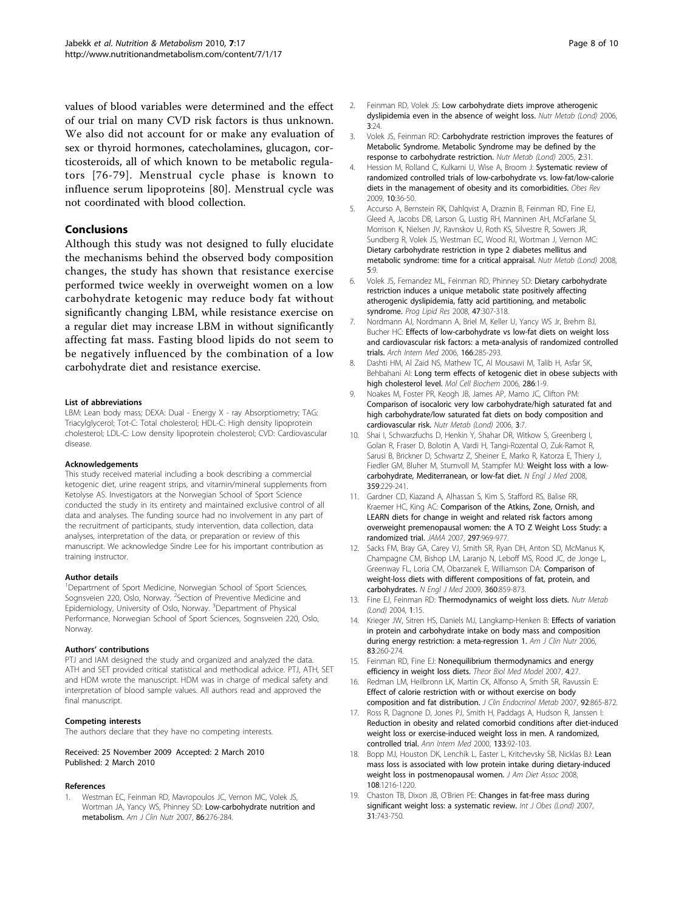<span id="page-7-0"></span>values of blood variables were determined and the effect of our trial on many CVD risk factors is thus unknown. We also did not account for or make any evaluation of sex or thyroid hormones, catecholamines, glucagon, corticosteroids, all of which known to be metabolic regulators [[76-79](#page-9-0)]. Menstrual cycle phase is known to influence serum lipoproteins [\[80](#page-9-0)]. Menstrual cycle was not coordinated with blood collection.

### Conclusions

Although this study was not designed to fully elucidate the mechanisms behind the observed body composition changes, the study has shown that resistance exercise performed twice weekly in overweight women on a low carbohydrate ketogenic may reduce body fat without significantly changing LBM, while resistance exercise on a regular diet may increase LBM in without significantly affecting fat mass. Fasting blood lipids do not seem to be negatively influenced by the combination of a low carbohydrate diet and resistance exercise.

#### List of abbreviations

LBM: Lean body mass; DEXA: Dual - Energy X - ray Absorptiometry; TAG: Triacylglycerol; Tot-C: Total cholesterol; HDL-C: High density lipoprotein cholesterol; LDL-C: Low density lipoprotein cholesterol; CVD: Cardiovascular disease.

#### Acknowledgements

This study received material including a book describing a commercial ketogenic diet, urine reagent strips, and vitamin/mineral supplements from Ketolyse AS. Investigators at the Norwegian School of Sport Science conducted the study in its entirety and maintained exclusive control of all data and analyses. The funding source had no involvement in any part of the recruitment of participants, study intervention, data collection, data analyses, interpretation of the data, or preparation or review of this manuscript. We acknowledge Sindre Lee for his important contribution as training instructor.

#### Author details

<sup>1</sup>Department of Sport Medicine, Norwegian School of Sport Sciences, Sognsveien 220, Oslo, Norway. <sup>2</sup>Section of Preventive Medicine and Epidemiology, University of Oslo, Norway. <sup>3</sup>Department of Physical Performance, Norwegian School of Sport Sciences, Sognsveien 220, Oslo, Norway.

#### Authors' contributions

PTJ and IAM designed the study and organized and analyzed the data. ATH and SET provided critical statistical and methodical advice. PTJ, ATH, SET and HDM wrote the manuscript. HDM was in charge of medical safety and interpretation of blood sample values. All authors read and approved the final manuscript.

#### Competing interests

The authors declare that they have no competing interests.

#### Received: 25 November 2009 Accepted: 2 March 2010 Published: 2 March 2010

#### References

1. Westman EC, Feinman RD, Mavropoulos JC, Vernon MC, Volek JS, Wortman JA, Yancy WS, Phinney SD: [Low-carbohydrate nutrition and](http://www.ncbi.nlm.nih.gov/pubmed/17684196?dopt=Abstract) [metabolism.](http://www.ncbi.nlm.nih.gov/pubmed/17684196?dopt=Abstract) Am J Clin Nutr 2007, 86:276-284.

- 2. Feinman RD, Volek JS: [Low carbohydrate diets improve atherogenic](http://www.ncbi.nlm.nih.gov/pubmed/16790045?dopt=Abstract) [dyslipidemia even in the absence of weight loss.](http://www.ncbi.nlm.nih.gov/pubmed/16790045?dopt=Abstract) Nutr Metab (Lond) 2006, 3:24.
- 3. Volek JS, Feinman RD: [Carbohydrate restriction improves the features of](http://www.ncbi.nlm.nih.gov/pubmed/16288655?dopt=Abstract) [Metabolic Syndrome. Metabolic Syndrome may be defined by the](http://www.ncbi.nlm.nih.gov/pubmed/16288655?dopt=Abstract) [response to carbohydrate restriction.](http://www.ncbi.nlm.nih.gov/pubmed/16288655?dopt=Abstract) Nutr Metab (Lond) 2005, 2:31.
- Hession M, Rolland C, Kulkarni U, Wise A, Broom J: [Systematic review of](http://www.ncbi.nlm.nih.gov/pubmed/18700873?dopt=Abstract) [randomized controlled trials of low-carbohydrate vs. low-fat/low-calorie](http://www.ncbi.nlm.nih.gov/pubmed/18700873?dopt=Abstract) [diets in the management of obesity and its comorbidities.](http://www.ncbi.nlm.nih.gov/pubmed/18700873?dopt=Abstract) Obes Rev 2009, 10:36-50.
- 5. Accurso A, Bernstein RK, Dahlqvist A, Draznin B, Feinman RD, Fine EJ, Gleed A, Jacobs DB, Larson G, Lustig RH, Manninen AH, McFarlane SI, Morrison K, Nielsen JV, Ravnskov U, Roth KS, Silvestre R, Sowers JR, Sundberg R, Volek JS, Westman EC, Wood RJ, Wortman J, Vernon MC: [Dietary carbohydrate restriction in type 2 diabetes mellitus and](http://www.ncbi.nlm.nih.gov/pubmed/18397522?dopt=Abstract) [metabolic syndrome: time for a critical appraisal.](http://www.ncbi.nlm.nih.gov/pubmed/18397522?dopt=Abstract) Nutr Metab (Lond) 2008, 5:9.
- 6. Volek JS, Fernandez ML, Feinman RD, Phinney SD: [Dietary carbohydrate](http://www.ncbi.nlm.nih.gov/pubmed/18396172?dopt=Abstract) [restriction induces a unique metabolic state positively affecting](http://www.ncbi.nlm.nih.gov/pubmed/18396172?dopt=Abstract) [atherogenic dyslipidemia, fatty acid partitioning, and metabolic](http://www.ncbi.nlm.nih.gov/pubmed/18396172?dopt=Abstract) [syndrome.](http://www.ncbi.nlm.nih.gov/pubmed/18396172?dopt=Abstract) Prog Lipid Res 2008, 47:307-318.
- 7. Nordmann AJ, Nordmann A, Briel M, Keller U, Yancy WS Jr, Brehm BJ, Bucher HC: [Effects of low-carbohydrate vs low-fat diets on weight loss](http://www.ncbi.nlm.nih.gov/pubmed/16476868?dopt=Abstract) [and cardiovascular risk factors: a meta-analysis of randomized controlled](http://www.ncbi.nlm.nih.gov/pubmed/16476868?dopt=Abstract) [trials.](http://www.ncbi.nlm.nih.gov/pubmed/16476868?dopt=Abstract) Arch Intern Med 2006, 166:285-293.
- 8. Dashti HM, Al Zaid NS, Mathew TC, Al Mousawi M, Talib H, Asfar SK, Behbahani AI: [Long term effects of ketogenic diet in obese subjects with](http://www.ncbi.nlm.nih.gov/pubmed/16652223?dopt=Abstract) [high cholesterol level.](http://www.ncbi.nlm.nih.gov/pubmed/16652223?dopt=Abstract) Mol Cell Biochem 2006, 286:1-9.
- 9. Noakes M, Foster PR, Keogh JB, James AP, Mamo JC, Clifton PM: [Comparison of isocaloric very low carbohydrate/high saturated fat and](http://www.ncbi.nlm.nih.gov/pubmed/16403234?dopt=Abstract) [high carbohydrate/low saturated fat diets on body composition and](http://www.ncbi.nlm.nih.gov/pubmed/16403234?dopt=Abstract) [cardiovascular risk.](http://www.ncbi.nlm.nih.gov/pubmed/16403234?dopt=Abstract) Nutr Metab (Lond) 2006, 3:7.
- 10. Shai I, Schwarzfuchs D, Henkin Y, Shahar DR, Witkow S, Greenberg I, Golan R, Fraser D, Bolotin A, Vardi H, Tangi-Rozental O, Zuk-Ramot R, Sarusi B, Brickner D, Schwartz Z, Sheiner E, Marko R, Katorza E, Thiery J, Fiedler GM, Bluher M, Stumvoll M, Stampfer MJ: [Weight loss with a low](http://www.ncbi.nlm.nih.gov/pubmed/18635428?dopt=Abstract)[carbohydrate, Mediterranean, or low-fat diet.](http://www.ncbi.nlm.nih.gov/pubmed/18635428?dopt=Abstract) N Engl J Med 2008, 359:229-241.
- 11. Gardner CD, Kiazand A, Alhassan S, Kim S, Stafford RS, Balise RR, Kraemer HC, King AC: [Comparison of the Atkins, Zone, Ornish, and](http://www.ncbi.nlm.nih.gov/pubmed/17341711?dopt=Abstract) [LEARN diets for change in weight and related risk factors among](http://www.ncbi.nlm.nih.gov/pubmed/17341711?dopt=Abstract) [overweight premenopausal women: the A TO Z Weight Loss Study: a](http://www.ncbi.nlm.nih.gov/pubmed/17341711?dopt=Abstract) [randomized trial.](http://www.ncbi.nlm.nih.gov/pubmed/17341711?dopt=Abstract) JAMA 2007, 297:969-977.
- 12. Sacks FM, Bray GA, Carey VJ, Smith SR, Ryan DH, Anton SD, McManus K, Champagne CM, Bishop LM, Laranjo N, Leboff MS, Rood JC, de Jonge L, Greenway FL, Loria CM, Obarzanek E, Williamson DA: [Comparison of](http://www.ncbi.nlm.nih.gov/pubmed/19246357?dopt=Abstract) [weight-loss diets with different compositions of fat, protein, and](http://www.ncbi.nlm.nih.gov/pubmed/19246357?dopt=Abstract) [carbohydrates.](http://www.ncbi.nlm.nih.gov/pubmed/19246357?dopt=Abstract) N Engl J Med 2009, 360:859-873.
- 13. Fine EJ, Feinman RD: [Thermodynamics of weight loss diets.](http://www.ncbi.nlm.nih.gov/pubmed/15588283?dopt=Abstract) Nutr Metab (Lond) 2004, 1:15.
- 14. Krieger JW, Sitren HS, Daniels MJ, Langkamp-Henken B: [Effects of variation](http://www.ncbi.nlm.nih.gov/pubmed/16469983?dopt=Abstract) [in protein and carbohydrate intake on body mass and composition](http://www.ncbi.nlm.nih.gov/pubmed/16469983?dopt=Abstract) [during energy restriction: a meta-regression 1.](http://www.ncbi.nlm.nih.gov/pubmed/16469983?dopt=Abstract) Am J Clin Nutr 2006, 83:260-274.
- 15. Feinman RD, Fine EJ: [Nonequilibrium thermodynamics and energy](http://www.ncbi.nlm.nih.gov/pubmed/17663761?dopt=Abstract) [efficiency in weight loss diets.](http://www.ncbi.nlm.nih.gov/pubmed/17663761?dopt=Abstract) Theor Biol Med Model 2007, 4:27.
- 16. Redman LM, Heilbronn LK, Martin CK, Alfonso A, Smith SR, Ravussin E: [Effect of calorie restriction with or without exercise on body](http://www.ncbi.nlm.nih.gov/pubmed/17200169?dopt=Abstract) [composition and fat distribution.](http://www.ncbi.nlm.nih.gov/pubmed/17200169?dopt=Abstract) J Clin Endocrinol Metab 2007, 92:865-872.
- 17. Ross R, Dagnone D, Jones PJ, Smith H, Paddags A, Hudson R, Janssen I: [Reduction in obesity and related comorbid conditions after diet-induced](http://www.ncbi.nlm.nih.gov/pubmed/10896648?dopt=Abstract) [weight loss or exercise-induced weight loss in men. A randomized,](http://www.ncbi.nlm.nih.gov/pubmed/10896648?dopt=Abstract) [controlled trial.](http://www.ncbi.nlm.nih.gov/pubmed/10896648?dopt=Abstract) Ann Intern Med 2000, 133:92-103.
- 18. Bopp MJ, Houston DK, Lenchik L, Easter L, Kritchevsky SB, Nicklas BJ: [Lean](http://www.ncbi.nlm.nih.gov/pubmed/18589032?dopt=Abstract) [mass loss is associated with low protein intake during dietary-induced](http://www.ncbi.nlm.nih.gov/pubmed/18589032?dopt=Abstract) [weight loss in postmenopausal women.](http://www.ncbi.nlm.nih.gov/pubmed/18589032?dopt=Abstract) J Am Diet Assoc 2008, 108:1216-1220.
- 19. Chaston TB, Dixon JB, O'Brien PE: [Changes in fat-free mass during](http://www.ncbi.nlm.nih.gov/pubmed/17075583?dopt=Abstract) [significant weight loss: a systematic review.](http://www.ncbi.nlm.nih.gov/pubmed/17075583?dopt=Abstract) Int J Obes (Lond) 2007, 31:743-750.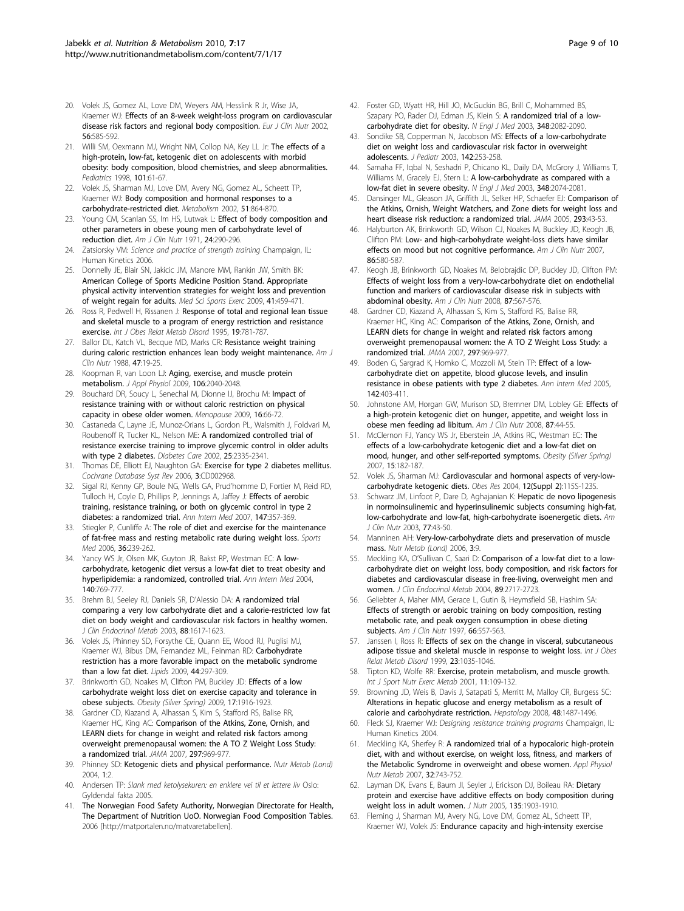- <span id="page-8-0"></span>20. Volek JS, Gomez AL, Love DM, Weyers AM, Hesslink R Jr, Wise JA, Kraemer WJ: [Effects of an 8-week weight-loss program on cardiovascular](http://www.ncbi.nlm.nih.gov/pubmed/12173568?dopt=Abstract) [disease risk factors and regional body composition.](http://www.ncbi.nlm.nih.gov/pubmed/12173568?dopt=Abstract) Eur J Clin Nutr 2002, 56:585-592.
- 21. Willi SM, Oexmann MJ, Wright NM, Collop NA, Key LL Jr: [The effects of a](http://www.ncbi.nlm.nih.gov/pubmed/9417152?dopt=Abstract) [high-protein, low-fat, ketogenic diet on adolescents with morbid](http://www.ncbi.nlm.nih.gov/pubmed/9417152?dopt=Abstract) [obesity: body composition, blood chemistries, and sleep abnormalities.](http://www.ncbi.nlm.nih.gov/pubmed/9417152?dopt=Abstract) Pediatrics 1998, 101:61-67.
- 22. Volek JS, Sharman MJ, Love DM, Avery NG, Gomez AL, Scheett TP, Kraemer WJ: [Body composition and hormonal responses to a](http://www.ncbi.nlm.nih.gov/pubmed/12077732?dopt=Abstract) [carbohydrate-restricted diet.](http://www.ncbi.nlm.nih.gov/pubmed/12077732?dopt=Abstract) Metabolism 2002, 51:864-870.
- 23. Young CM, Scanlan SS, Im HS, Lutwak L: [Effect of body composition and](http://www.ncbi.nlm.nih.gov/pubmed/5548734?dopt=Abstract) [other parameters in obese young men of carbohydrate level of](http://www.ncbi.nlm.nih.gov/pubmed/5548734?dopt=Abstract) [reduction diet.](http://www.ncbi.nlm.nih.gov/pubmed/5548734?dopt=Abstract) Am J Clin Nutr 1971, 24:290-296.
- 24. Zatsiorsky VM: Science and practice of strength training Champaign, IL: Human Kinetics 2006.
- 25. Donnelly JE, Blair SN, Jakicic JM, Manore MM, Rankin JW, Smith BK: [American College of Sports Medicine Position Stand. Appropriate](http://www.ncbi.nlm.nih.gov/pubmed/19127177?dopt=Abstract) [physical activity intervention strategies for weight loss and prevention](http://www.ncbi.nlm.nih.gov/pubmed/19127177?dopt=Abstract) [of weight regain for adults.](http://www.ncbi.nlm.nih.gov/pubmed/19127177?dopt=Abstract) Med Sci Sports Exerc 2009, 41:459-471.
- 26. Ross R, Pedwell H, Rissanen J: [Response of total and regional lean tissue](http://www.ncbi.nlm.nih.gov/pubmed/8589778?dopt=Abstract) [and skeletal muscle to a program of energy restriction and resistance](http://www.ncbi.nlm.nih.gov/pubmed/8589778?dopt=Abstract) [exercise.](http://www.ncbi.nlm.nih.gov/pubmed/8589778?dopt=Abstract) Int J Obes Relat Metab Disord 1995, 19:781-787.
- 27. Ballor DL, Katch VL, Becque MD, Marks CR: [Resistance weight training](http://www.ncbi.nlm.nih.gov/pubmed/3337037?dopt=Abstract) [during caloric restriction enhances lean body weight maintenance.](http://www.ncbi.nlm.nih.gov/pubmed/3337037?dopt=Abstract) Am J Clin Nutr 1988, 47:19-25.
- 28. Koopman R, van Loon LJ: [Aging, exercise, and muscle protein](http://www.ncbi.nlm.nih.gov/pubmed/19131471?dopt=Abstract) [metabolism.](http://www.ncbi.nlm.nih.gov/pubmed/19131471?dopt=Abstract) J Appl Physiol 2009, 106:2040-2048.
- 29. Bouchard DR, Soucy L, Senechal M, Dionne IJ, Brochu M: [Impact of](http://www.ncbi.nlm.nih.gov/pubmed/18779759?dopt=Abstract) [resistance training with or without caloric restriction on physical](http://www.ncbi.nlm.nih.gov/pubmed/18779759?dopt=Abstract) [capacity in obese older women.](http://www.ncbi.nlm.nih.gov/pubmed/18779759?dopt=Abstract) Menopause 2009, 16:66-72.
- 30. Castaneda C, Layne JE, Munoz-Orians L, Gordon PL, Walsmith J, Foldvari M, Roubenoff R, Tucker KL, Nelson ME: [A randomized controlled trial of](http://www.ncbi.nlm.nih.gov/pubmed/12453982?dopt=Abstract) [resistance exercise training to improve glycemic control in older adults](http://www.ncbi.nlm.nih.gov/pubmed/12453982?dopt=Abstract) [with type 2 diabetes.](http://www.ncbi.nlm.nih.gov/pubmed/12453982?dopt=Abstract) Diabetes Care 2002, 25:2335-2341.
- 31. Thomas DE, Elliott EJ, Naughton GA: [Exercise for type 2 diabetes mellitus.](http://www.ncbi.nlm.nih.gov/pubmed/16855995?dopt=Abstract) Cochrane Database Syst Rev 2006, 3:CD002968.
- 32. Sigal RJ, Kenny GP, Boule NG, Wells GA, Prud'homme D, Fortier M, Reid RD, Tulloch H, Coyle D, Phillips P, Jennings A, Jaffey J: [Effects of aerobic](http://www.ncbi.nlm.nih.gov/pubmed/17876019?dopt=Abstract) [training, resistance training, or both on glycemic control in type 2](http://www.ncbi.nlm.nih.gov/pubmed/17876019?dopt=Abstract) [diabetes: a randomized trial.](http://www.ncbi.nlm.nih.gov/pubmed/17876019?dopt=Abstract) Ann Intern Med 2007, 147:357-369.
- 33. Stiegler P, Cunliffe A: [The role of diet and exercise for the maintenance](http://www.ncbi.nlm.nih.gov/pubmed/16526835?dopt=Abstract) [of fat-free mass and resting metabolic rate during weight loss.](http://www.ncbi.nlm.nih.gov/pubmed/16526835?dopt=Abstract) Sports Med 2006, 36:239-262.
- 34. Yancy WS Jr, Olsen MK, Guyton JR, Bakst RP, Westman EC: [A low](http://www.ncbi.nlm.nih.gov/pubmed/15148063?dopt=Abstract)[carbohydrate, ketogenic diet versus a low-fat diet to treat obesity and](http://www.ncbi.nlm.nih.gov/pubmed/15148063?dopt=Abstract) [hyperlipidemia: a randomized, controlled trial.](http://www.ncbi.nlm.nih.gov/pubmed/15148063?dopt=Abstract) Ann Intern Med 2004, 140:769-777.
- 35. Brehm BJ, Seeley RJ, Daniels SR, D'Alessio DA: [A randomized trial](http://www.ncbi.nlm.nih.gov/pubmed/12679447?dopt=Abstract) [comparing a very low carbohydrate diet and a calorie-restricted low fat](http://www.ncbi.nlm.nih.gov/pubmed/12679447?dopt=Abstract) [diet on body weight and cardiovascular risk factors in healthy women.](http://www.ncbi.nlm.nih.gov/pubmed/12679447?dopt=Abstract) J Clin Endocrinol Metab 2003, 88:1617-1623.
- 36. Volek JS, Phinney SD, Forsythe CE, Quann EE, Wood RJ, Puglisi MJ, Kraemer WJ, Bibus DM, Fernandez ML, Feinman RD: [Carbohydrate](http://www.ncbi.nlm.nih.gov/pubmed/19082851?dopt=Abstract) [restriction has a more favorable impact on the metabolic syndrome](http://www.ncbi.nlm.nih.gov/pubmed/19082851?dopt=Abstract) [than a low fat diet.](http://www.ncbi.nlm.nih.gov/pubmed/19082851?dopt=Abstract) Lipids 2009, 44:297-309.
- 37. Brinkworth GD, Noakes M, Clifton PM, Buckley JD: [Effects of a low](http://www.ncbi.nlm.nih.gov/pubmed/19373224?dopt=Abstract) [carbohydrate weight loss diet on exercise capacity and tolerance in](http://www.ncbi.nlm.nih.gov/pubmed/19373224?dopt=Abstract) [obese subjects.](http://www.ncbi.nlm.nih.gov/pubmed/19373224?dopt=Abstract) Obesity (Silver Spring) 2009, 17:1916-1923.
- 38. Gardner CD, Kiazand A, Alhassan S, Kim S, Stafford RS, Balise RR, Kraemer HC, King AC: [Comparison of the Atkins, Zone, Ornish, and](http://www.ncbi.nlm.nih.gov/pubmed/17341711?dopt=Abstract) [LEARN diets for change in weight and related risk factors among](http://www.ncbi.nlm.nih.gov/pubmed/17341711?dopt=Abstract) [overweight premenopausal women: the A TO Z Weight Loss Study:](http://www.ncbi.nlm.nih.gov/pubmed/17341711?dopt=Abstract) [a randomized trial.](http://www.ncbi.nlm.nih.gov/pubmed/17341711?dopt=Abstract) JAMA 2007, 297:969-977.
- 39. Phinney SD: [Ketogenic diets and physical performance.](http://www.ncbi.nlm.nih.gov/pubmed/15507148?dopt=Abstract) Nutr Metab (Lond) 2004, 1:2.
- 40. Andersen TP: Slank med ketolysekuren: en enklere vei til et lettere liv Oslo: Gyldendal fakta 2005.
- 41. The Norwegian Food Safety Authority, Norwegian Directorate for Health, The Department of Nutrition UoO. Norwegian Food Composition Tables. 2006 [\[http://matportalen.no/matvaretabellen\]](http://matportalen.no/matvaretabellen).
- 42. Foster GD, Wyatt HR, Hill JO, McGuckin BG, Brill C, Mohammed BS, Szapary PO, Rader DJ, Edman JS, Klein S: [A randomized trial of a low](http://www.ncbi.nlm.nih.gov/pubmed/12761365?dopt=Abstract)[carbohydrate diet for obesity.](http://www.ncbi.nlm.nih.gov/pubmed/12761365?dopt=Abstract) N Engl J Med 2003, 348:2082-2090.
- 43. Sondike SB, Copperman N, Jacobson MS: [Effects of a low-carbohydrate](http://www.ncbi.nlm.nih.gov/pubmed/12640371?dopt=Abstract) [diet on weight loss and cardiovascular risk factor in overweight](http://www.ncbi.nlm.nih.gov/pubmed/12640371?dopt=Abstract) [adolescents.](http://www.ncbi.nlm.nih.gov/pubmed/12640371?dopt=Abstract) J Pediatr 2003, 142:253-258.
- 44. Samaha FF, Iqbal N, Seshadri P, Chicano KL, Daily DA, McGrory J, Williams T, Williams M, Gracely EJ, Stern L: [A low-carbohydrate as compared with a](http://www.ncbi.nlm.nih.gov/pubmed/12761364?dopt=Abstract) [low-fat diet in severe obesity.](http://www.ncbi.nlm.nih.gov/pubmed/12761364?dopt=Abstract) N Engl J Med 2003, 348:2074-2081.
- 45. Dansinger ML, Gleason JA, Griffith JL, Selker HP, Schaefer EJ: [Comparison of](http://www.ncbi.nlm.nih.gov/pubmed/15632335?dopt=Abstract) [the Atkins, Ornish, Weight Watchers, and Zone diets for weight loss and](http://www.ncbi.nlm.nih.gov/pubmed/15632335?dopt=Abstract) [heart disease risk reduction: a randomized trial.](http://www.ncbi.nlm.nih.gov/pubmed/15632335?dopt=Abstract) JAMA 2005, 293:43-53.
- 46. Halyburton AK, Brinkworth GD, Wilson CJ, Noakes M, Buckley JD, Keogh JB, Clifton PM: [Low- and high-carbohydrate weight-loss diets have similar](http://www.ncbi.nlm.nih.gov/pubmed/17823420?dopt=Abstract) [effects on mood but not cognitive performance.](http://www.ncbi.nlm.nih.gov/pubmed/17823420?dopt=Abstract) Am J Clin Nutr 2007, 86:580-587.
- 47. Keogh JB, Brinkworth GD, Noakes M, Belobrajdic DP, Buckley JD, Clifton PM: [Effects of weight loss from a very-low-carbohydrate diet on endothelial](http://www.ncbi.nlm.nih.gov/pubmed/18326593?dopt=Abstract) [function and markers of cardiovascular disease risk in subjects with](http://www.ncbi.nlm.nih.gov/pubmed/18326593?dopt=Abstract) [abdominal obesity.](http://www.ncbi.nlm.nih.gov/pubmed/18326593?dopt=Abstract) Am J Clin Nutr 2008, 87:567-576.
- 48. Gardner CD, Kiazand A, Alhassan S, Kim S, Stafford RS, Balise RR, Kraemer HC, King AC: [Comparison of the Atkins, Zone, Ornish, and](http://www.ncbi.nlm.nih.gov/pubmed/17341711?dopt=Abstract) [LEARN diets for change in weight and related risk factors among](http://www.ncbi.nlm.nih.gov/pubmed/17341711?dopt=Abstract) [overweight premenopausal women: the A TO Z Weight Loss Study: a](http://www.ncbi.nlm.nih.gov/pubmed/17341711?dopt=Abstract) [randomized trial.](http://www.ncbi.nlm.nih.gov/pubmed/17341711?dopt=Abstract) JAMA 2007, 297:969-977.
- 49. Boden G, Sargrad K, Homko C, Mozzoli M, Stein TP: [Effect of a low](http://www.ncbi.nlm.nih.gov/pubmed/15767618?dopt=Abstract)[carbohydrate diet on appetite, blood glucose levels, and insulin](http://www.ncbi.nlm.nih.gov/pubmed/15767618?dopt=Abstract) [resistance in obese patients with type 2 diabetes.](http://www.ncbi.nlm.nih.gov/pubmed/15767618?dopt=Abstract) Ann Intern Med 2005, 142:403-411.
- 50. Johnstone AM, Horgan GW, Murison SD, Bremner DM, Lobley GE: [Effects of](http://www.ncbi.nlm.nih.gov/pubmed/18175736?dopt=Abstract) [a high-protein ketogenic diet on hunger, appetite, and weight loss in](http://www.ncbi.nlm.nih.gov/pubmed/18175736?dopt=Abstract) [obese men feeding ad libitum.](http://www.ncbi.nlm.nih.gov/pubmed/18175736?dopt=Abstract) Am J Clin Nutr 2008, 87:44-55.
- 51. McClernon FJ, Yancy WS Jr, Eberstein JA, Atkins RC, Westman EC: [The](http://www.ncbi.nlm.nih.gov/pubmed/17228046?dopt=Abstract) [effects of a low-carbohydrate ketogenic diet and a low-fat diet on](http://www.ncbi.nlm.nih.gov/pubmed/17228046?dopt=Abstract) [mood, hunger, and other self-reported symptoms.](http://www.ncbi.nlm.nih.gov/pubmed/17228046?dopt=Abstract) Obesity (Silver Spring) 2007, 15:182-187.
- 52. Volek JS, Sharman MJ: [Cardiovascular and hormonal aspects of very-low](http://www.ncbi.nlm.nih.gov/pubmed/15601959?dopt=Abstract)[carbohydrate ketogenic diets.](http://www.ncbi.nlm.nih.gov/pubmed/15601959?dopt=Abstract) Obes Res 2004, 12(Suppl 2):115S-123S.
- 53. Schwarz JM, Linfoot P, Dare D, Aghajanian K: [Hepatic de novo lipogenesis](http://www.ncbi.nlm.nih.gov/pubmed/12499321?dopt=Abstract) [in normoinsulinemic and hyperinsulinemic subjects consuming high-fat,](http://www.ncbi.nlm.nih.gov/pubmed/12499321?dopt=Abstract) [low-carbohydrate and low-fat, high-carbohydrate isoenergetic diets.](http://www.ncbi.nlm.nih.gov/pubmed/12499321?dopt=Abstract) Am J Clin Nutr 2003, 77:43-50.
- 54. Manninen AH: [Very-low-carbohydrate diets and preservation of muscle](http://www.ncbi.nlm.nih.gov/pubmed/16448570?dopt=Abstract) [mass.](http://www.ncbi.nlm.nih.gov/pubmed/16448570?dopt=Abstract) Nutr Metab (Lond) 2006, 3:9.
- 55. Meckling KA, O'Sullivan C, Saari D: [Comparison of a low-fat diet to a low](http://www.ncbi.nlm.nih.gov/pubmed/15181047?dopt=Abstract)[carbohydrate diet on weight loss, body composition, and risk factors for](http://www.ncbi.nlm.nih.gov/pubmed/15181047?dopt=Abstract) [diabetes and cardiovascular disease in free-living, overweight men and](http://www.ncbi.nlm.nih.gov/pubmed/15181047?dopt=Abstract) [women.](http://www.ncbi.nlm.nih.gov/pubmed/15181047?dopt=Abstract) J Clin Endocrinol Metab 2004, 89:2717-2723.
- 56. Geliebter A, Maher MM, Gerace L, Gutin B, Heymsfield SB, Hashim SA: [Effects of strength or aerobic training on body composition, resting](http://www.ncbi.nlm.nih.gov/pubmed/9280173?dopt=Abstract) [metabolic rate, and peak oxygen consumption in obese dieting](http://www.ncbi.nlm.nih.gov/pubmed/9280173?dopt=Abstract) [subjects.](http://www.ncbi.nlm.nih.gov/pubmed/9280173?dopt=Abstract) Am J Clin Nutr 1997, 66:557-563.
- 57. Janssen I, Ross R: [Effects of sex on the change in visceral, subcutaneous](http://www.ncbi.nlm.nih.gov/pubmed/10557024?dopt=Abstract) [adipose tissue and skeletal muscle in response to weight loss.](http://www.ncbi.nlm.nih.gov/pubmed/10557024?dopt=Abstract) Int J Obes Relat Metab Disord 1999, 23:1035-1046.
- 58. Tipton KD, Wolfe RR: [Exercise, protein metabolism, and muscle growth.](http://www.ncbi.nlm.nih.gov/pubmed/11255140?dopt=Abstract) Int J Sport Nutr Exerc Metab 2001, 11:109-132.
- 59. Browning JD, Weis B, Davis J, Satapati S, Merritt M, Malloy CR, Burgess SC: [Alterations in hepatic glucose and energy metabolism as a result of](http://www.ncbi.nlm.nih.gov/pubmed/18925642?dopt=Abstract) [calorie and carbohydrate restriction.](http://www.ncbi.nlm.nih.gov/pubmed/18925642?dopt=Abstract) Hepatology 2008, 48:1487-1496.
- 60. Fleck SJ, Kraemer WJ: Designing resistance training programs Champaign, IL: Human Kinetics 2004.
- 61. Meckling KA, Sherfey R: [A randomized trial of a hypocaloric high-protein](http://www.ncbi.nlm.nih.gov/pubmed/17622289?dopt=Abstract) [diet, with and without exercise, on weight loss, fitness, and markers of](http://www.ncbi.nlm.nih.gov/pubmed/17622289?dopt=Abstract) [the Metabolic Syndrome in overweight and obese women.](http://www.ncbi.nlm.nih.gov/pubmed/17622289?dopt=Abstract) Appl Physiol Nutr Metab 2007, 32:743-752.
- 62. Layman DK, Evans E, Baum JI, Seyler J, Erickson DJ, Boileau RA: [Dietary](http://www.ncbi.nlm.nih.gov/pubmed/16046715?dopt=Abstract) [protein and exercise have additive effects on body composition during](http://www.ncbi.nlm.nih.gov/pubmed/16046715?dopt=Abstract) [weight loss in adult women.](http://www.ncbi.nlm.nih.gov/pubmed/16046715?dopt=Abstract) J Nutr 2005, 135:1903-1910.
- 63. Fleming J, Sharman MJ, Avery NG, Love DM, Gomez AL, Scheett TP, Kraemer WJ, Volek JS: [Endurance capacity and high-intensity exercise](http://www.ncbi.nlm.nih.gov/pubmed/14967870?dopt=Abstract)